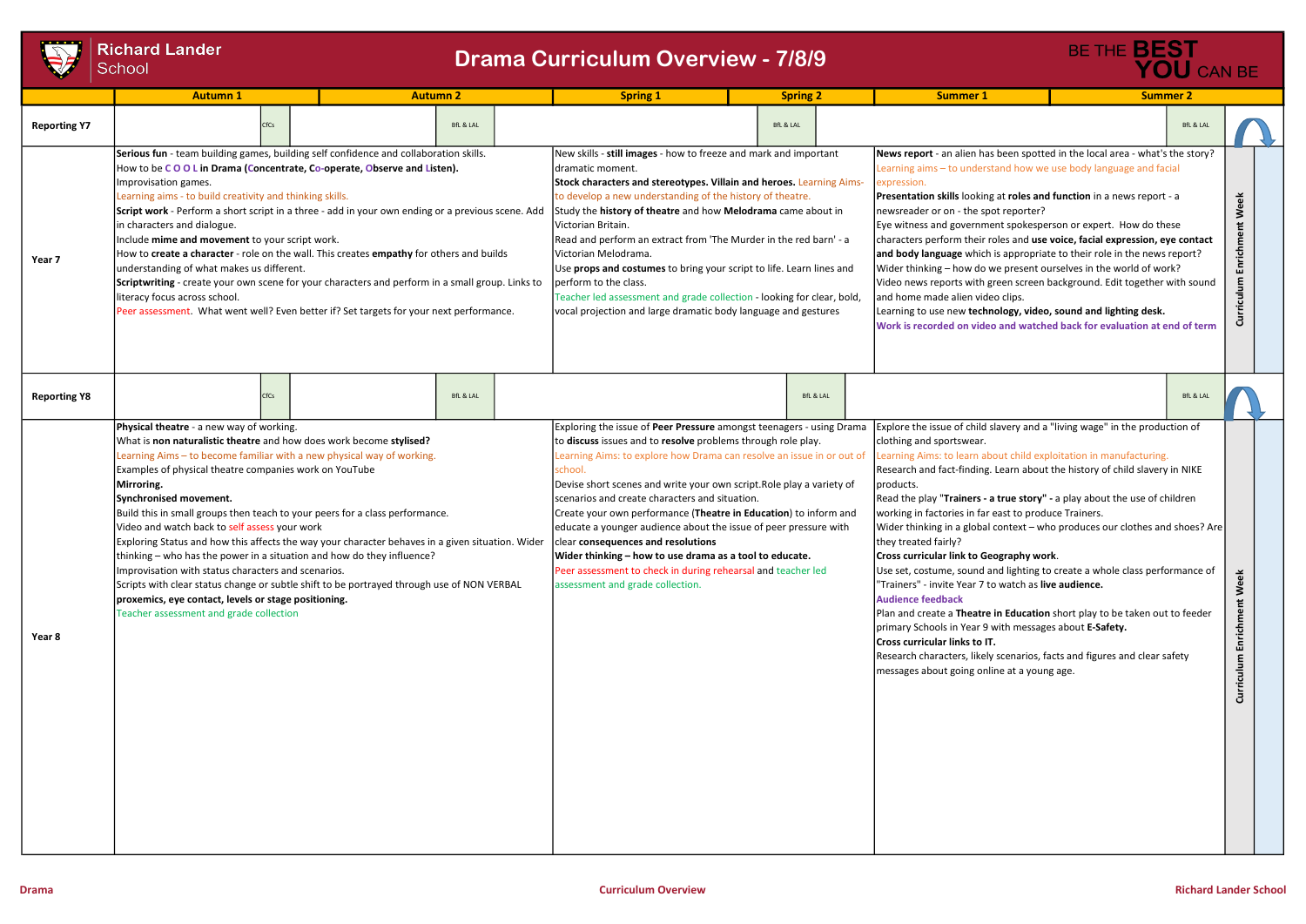# **Richard Lander** School

|                     | <b>Richard Lander</b><br>School                                                                                                                                                                                                                                                                                                                                                                                                                                                                                                                                                                                                                                                                                                                                                                                                                                    | <b>Drama Curriculum Overview - 7/8/9</b> |  | BE THE BEST<br>YOU CAN BE                                                                                                                                                                                                                                                                                                                                                                                                                                                                                                                                                                                                                                                                       |                      |                                                                                                                                                                                                                                                                                                                                                                                                                                                                                                                                                                                                                                                                                                                                                                                                                                                                                                                                                                                                                                                 |                      |                                  |
|---------------------|--------------------------------------------------------------------------------------------------------------------------------------------------------------------------------------------------------------------------------------------------------------------------------------------------------------------------------------------------------------------------------------------------------------------------------------------------------------------------------------------------------------------------------------------------------------------------------------------------------------------------------------------------------------------------------------------------------------------------------------------------------------------------------------------------------------------------------------------------------------------|------------------------------------------|--|-------------------------------------------------------------------------------------------------------------------------------------------------------------------------------------------------------------------------------------------------------------------------------------------------------------------------------------------------------------------------------------------------------------------------------------------------------------------------------------------------------------------------------------------------------------------------------------------------------------------------------------------------------------------------------------------------|----------------------|-------------------------------------------------------------------------------------------------------------------------------------------------------------------------------------------------------------------------------------------------------------------------------------------------------------------------------------------------------------------------------------------------------------------------------------------------------------------------------------------------------------------------------------------------------------------------------------------------------------------------------------------------------------------------------------------------------------------------------------------------------------------------------------------------------------------------------------------------------------------------------------------------------------------------------------------------------------------------------------------------------------------------------------------------|----------------------|----------------------------------|
|                     | <b>Autumn 1</b>                                                                                                                                                                                                                                                                                                                                                                                                                                                                                                                                                                                                                                                                                                                                                                                                                                                    | <b>Autumn 2</b>                          |  | <b>Spring 1</b>                                                                                                                                                                                                                                                                                                                                                                                                                                                                                                                                                                                                                                                                                 | <b>Spring 2</b>      | <b>Summer 1</b>                                                                                                                                                                                                                                                                                                                                                                                                                                                                                                                                                                                                                                                                                                                                                                                                                                                                                                                                                                                                                                 | <b>Summer 2</b>      |                                  |
| <b>Reporting Y7</b> |                                                                                                                                                                                                                                                                                                                                                                                                                                                                                                                                                                                                                                                                                                                                                                                                                                                                    | <b>BfL &amp; LAL</b>                     |  |                                                                                                                                                                                                                                                                                                                                                                                                                                                                                                                                                                                                                                                                                                 | <b>BfL &amp; LAL</b> |                                                                                                                                                                                                                                                                                                                                                                                                                                                                                                                                                                                                                                                                                                                                                                                                                                                                                                                                                                                                                                                 | <b>BfL &amp; LAL</b> |                                  |
| Year 7              | Serious fun - team building games, building self confidence and collaboration skills.<br>How to be COOL in Drama (Concentrate, Co-operate, Observe and Listen).<br>Improvisation games.<br>Learning aims - to build creativity and thinking skills.<br>Script work - Perform a short script in a three - add in your own ending or a previous scene. Add<br>in characters and dialogue.<br>Include mime and movement to your script work.<br>How to create a character - role on the wall. This creates empathy for others and builds<br>understanding of what makes us different.<br>Scriptwriting - create your own scene for your characters and perform in a small group. Links to<br>literacy focus across school.<br>Peer assessment. What went well? Even better if? Set targets for your next performance.                                                 |                                          |  | New skills - still images - how to freeze and mark and important<br>Idramatic moment.<br>Stock characters and stereotypes. Villain and heroes. Learning Aims-<br>to develop a new understanding of the history of theatre.<br>Study the history of theatre and how Melodrama came about in<br>Victorian Britain.<br>Read and perform an extract from 'The Murder in the red barn' - a<br>Victorian Melodrama.<br>Use props and costumes to bring your script to life. Learn lines and<br>perform to the class.<br>Teacher led assessment and grade collection - looking for clear, bold,<br>vocal projection and large dramatic body language and gestures                                      |                      | News report - an alien has been spotted in the local area - what's the story?<br>Learning aims - to understand how we use body language and facial<br>expression.<br>Presentation skills looking at roles and function in a news report - a<br>Week<br>newsreader or on - the spot reporter?<br>Eye witness and government spokesperson or expert. How do these<br>characters perform their roles and use voice, facial expression, eye contact<br>irich<br>and body language which is appropriate to their role in the news report?<br> Wider thinking – how do we present ourselves in the world of work?<br>西<br>Curriculum<br>Video news reports with green screen background. Edit together with sound<br>and home made alien video clips.<br>Learning to use new technology, video, sound and lighting desk.<br>Work is recorded on video and watched back for evaluation at end of term                                                                                                                                                  |                      |                                  |
| <b>Reporting Y8</b> |                                                                                                                                                                                                                                                                                                                                                                                                                                                                                                                                                                                                                                                                                                                                                                                                                                                                    | <b>BfL &amp; LAL</b>                     |  |                                                                                                                                                                                                                                                                                                                                                                                                                                                                                                                                                                                                                                                                                                 | <b>BfL &amp; LAL</b> |                                                                                                                                                                                                                                                                                                                                                                                                                                                                                                                                                                                                                                                                                                                                                                                                                                                                                                                                                                                                                                                 | <b>BfL &amp; LAL</b> |                                  |
| Year 8              | Physical theatre - a new way of working.<br>What is non naturalistic theatre and how does work become stylised?<br>Learning Aims - to become familiar with a new physical way of working.<br>Examples of physical theatre companies work on YouTube<br>Mirroring.<br>Synchronised movement.<br>Build this in small groups then teach to your peers for a class performance.<br>Video and watch back to self assess your work<br>Exploring Status and how this affects the way your character behaves in a given situation. Wider<br>thinking – who has the power in a situation and how do they influence?<br>Improvisation with status characters and scenarios.<br>Scripts with clear status change or subtle shift to be portrayed through use of NON VERBAL<br>proxemics, eye contact, levels or stage positioning.<br>Teacher assessment and grade collection |                                          |  | Exploring the issue of Peer Pressure amongst teenagers - using Drama<br>to discuss issues and to resolve problems through role play.<br>Learning Aims: to explore how Drama can resolve an issue in or out of<br>school<br>Devise short scenes and write your own script. Role play a variety of<br>scenarios and create characters and situation.<br>Create your own performance (Theatre in Education) to inform and<br>educate a younger audience about the issue of peer pressure with<br>clear consequences and resolutions<br>Wider thinking - how to use drama as a tool to educate.<br>Peer assessment to check in during rehearsal and teacher led<br>assessment and grade collection. |                      | Explore the issue of child slavery and a "living wage" in the production of<br>clothing and sportswear.<br>Learning Aims: to learn about child exploitation in manufacturing.<br>Research and fact-finding. Learn about the history of child slavery in NIKE<br>products.<br>Read the play "Trainers - a true story" - a play about the use of children<br>working in factories in far east to produce Trainers.<br>Wider thinking in a global context - who produces our clothes and shoes? Are<br>they treated fairly?<br>Cross curricular link to Geography work.<br>Use set, costume, sound and lighting to create a whole class performance of<br>'Trainers" - invite Year 7 to watch as live audience.<br><b>Audience feedback</b><br>Plan and create a Theatre in Education short play to be taken out to feeder<br>primary Schools in Year 9 with messages about E-Safety.<br>Cross curricular links to IT.<br>Research characters, likely scenarios, facts and figures and clear safety<br>messages about going online at a young age. |                      | Week<br>Enrichment<br>Curriculum |

# BfL & LAL slavery and a "living wage" in the production of Learning Aims: to learning and the sout child exploitation in manufacturing. Researn about the history of child slavery in NIKE a true story" - a play about the use of children east to produce Trainers. context – who produces our clothes and shoes? Are cography work. and lighting to create a whole class performance of to watch as live audience. in Education short play to be taken out to feeder with messages about E-Safety. ly scenarios, facts and figures and clear safety iline at a young age. as been spotted in the local area - what's the story? stand how we use body language and facial ig at roles and function in a news report - a oot reporter? ent spokesperson or expert. How do these roles and use voice, facial expression, eye contact is appropriate to their role in the news report? we present ourselves in the world of work? green screen background. Edit together with sound eo clips. nology, video, sound and lighting desk. eo and watched back for evaluation at end of term BfL & LAL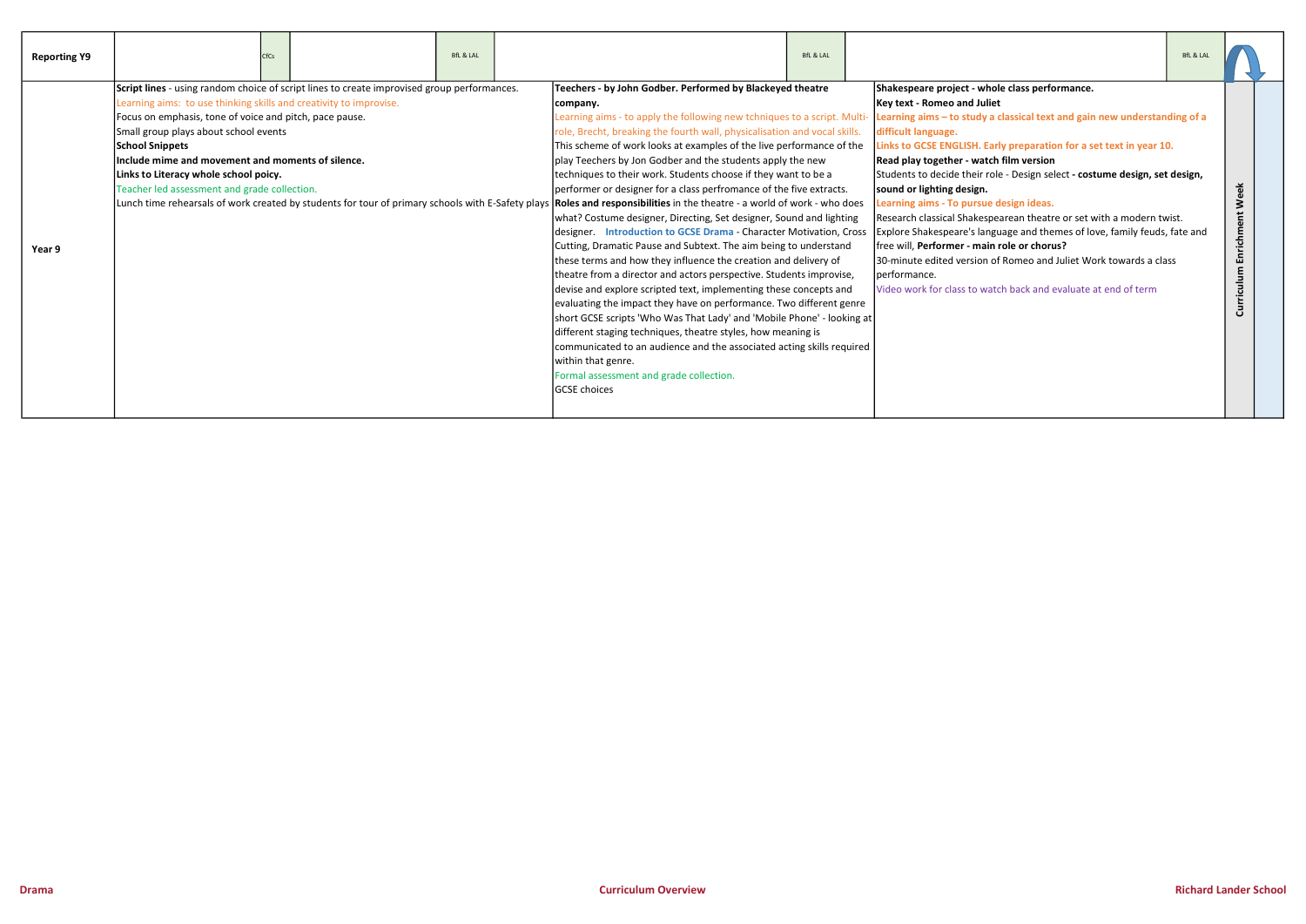| <b>Reporting Y9</b> | CfCs                                                                                                                                                                                                                                                                                                                                                                                                                                                                                                                                               |  | <b>BfL &amp; LAL</b> |                                                                                                                                                                                                                                                                                                                                                                                                                                                                                                                                                                                                                                                                                                                                                                                                                                                                                                                                                                                                                                                                                                                                                                                                                                                                                                                  | <b>BfL &amp; LAL</b> |                                                                                                                                                                                                                                                                                                                                                                                                                                                                                                                                                                                                                                                                                                                                                                                                                                | <b>BfL &amp; LAL</b> |                              |  |
|---------------------|----------------------------------------------------------------------------------------------------------------------------------------------------------------------------------------------------------------------------------------------------------------------------------------------------------------------------------------------------------------------------------------------------------------------------------------------------------------------------------------------------------------------------------------------------|--|----------------------|------------------------------------------------------------------------------------------------------------------------------------------------------------------------------------------------------------------------------------------------------------------------------------------------------------------------------------------------------------------------------------------------------------------------------------------------------------------------------------------------------------------------------------------------------------------------------------------------------------------------------------------------------------------------------------------------------------------------------------------------------------------------------------------------------------------------------------------------------------------------------------------------------------------------------------------------------------------------------------------------------------------------------------------------------------------------------------------------------------------------------------------------------------------------------------------------------------------------------------------------------------------------------------------------------------------|----------------------|--------------------------------------------------------------------------------------------------------------------------------------------------------------------------------------------------------------------------------------------------------------------------------------------------------------------------------------------------------------------------------------------------------------------------------------------------------------------------------------------------------------------------------------------------------------------------------------------------------------------------------------------------------------------------------------------------------------------------------------------------------------------------------------------------------------------------------|----------------------|------------------------------|--|
| Year 9              | Script lines - using random choice of script lines to create improvised group performances.<br>Learning aims: to use thinking skills and creativity to improvise.<br>Focus on emphasis, tone of voice and pitch, pace pause.<br>Small group plays about school events<br><b>School Snippets</b><br>Include mime and movement and moments of silence.<br>Links to Literacy whole school poicy.<br>Teacher led assessment and grade collection.<br>Lunch time rehearsals of work created by students for tour of primary schools with E-Safety plays |  |                      | Teechers - by John Godber. Performed by Blackeyed theatre<br>company.<br>Learning aims - to apply the following new tchniques to a script. Multi-<br>ole, Brecht, breaking the fourth wall, physicalisation and vocal skills.<br>This scheme of work looks at examples of the live performance of the<br>play Teechers by Jon Godber and the students apply the new<br>techniques to their work. Students choose if they want to be a<br>performer or designer for a class perfromance of the five extracts.<br>Roles and responsibilities in the theatre - a world of work - who does<br>what? Costume designer, Directing, Set designer, Sound and lighting<br>designer. Introduction to GCSE Drama - Character Motivation, Cross<br>Cutting, Dramatic Pause and Subtext. The aim being to understand<br>these terms and how they influence the creation and delivery of<br>theatre from a director and actors perspective. Students improvise,<br>devise and explore scripted text, implementing these concepts and<br>evaluating the impact they have on performance. Two different genre<br>short GCSE scripts 'Who Was That Lady' and 'Mobile Phone' - looking at<br>different staging techniques, theatre styles, how meaning is<br>communicated to an audience and the associated acting skills required |                      | Shakespeare project - whole class performance.<br><b>Key text - Romeo and Juliet</b><br>Learning aims - to study a classical text and gain new understanding of a<br>difficult language.<br>Links to GCSE ENGLISH. Early preparation for a set text in year 10.<br>Read play together - watch film version<br>Students to decide their role - Design select - costume design, set design,<br>sound or lighting design.<br>Learning aims - To pursue design ideas.<br>Research classical Shakespearean theatre or set with a modern twist.<br>Explore Shakespeare's language and themes of love, family feuds, fate and<br>free will, Performer - main role or chorus?<br>130-minute edited version of Romeo and Juliet Work towards a class<br>Iperformance.<br>Video work for class to watch back and evaluate at end of term |                      | Week<br>Enrichment<br>iculum |  |
|                     |                                                                                                                                                                                                                                                                                                                                                                                                                                                                                                                                                    |  |                      | within that genre.<br>Formal assessment and grade collection.<br>GCSE choices                                                                                                                                                                                                                                                                                                                                                                                                                                                                                                                                                                                                                                                                                                                                                                                                                                                                                                                                                                                                                                                                                                                                                                                                                                    |                      |                                                                                                                                                                                                                                                                                                                                                                                                                                                                                                                                                                                                                                                                                                                                                                                                                                |                      |                              |  |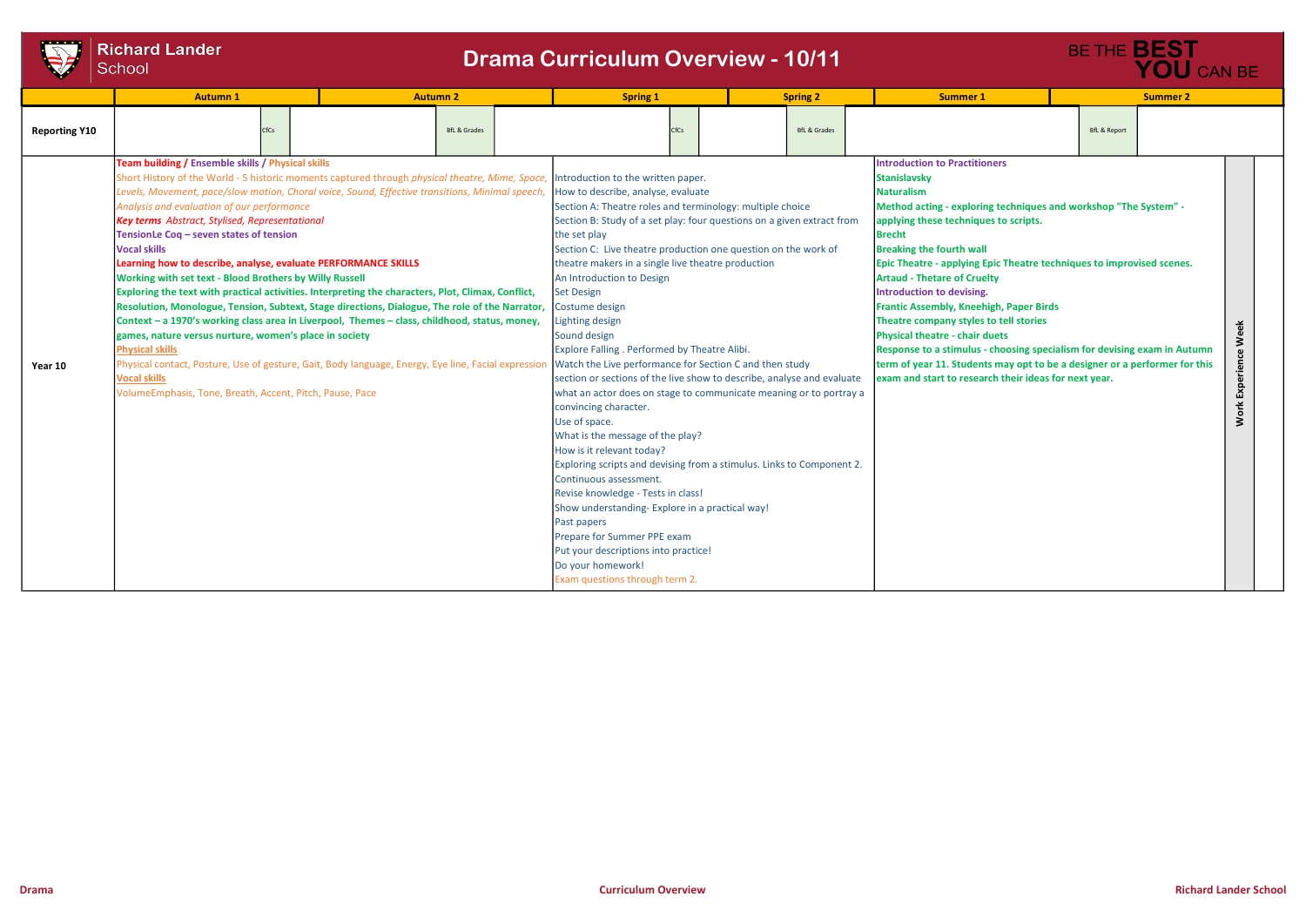|                      | <b>Richard Lander</b>                                                                                                                                                                                                                                                                                                                                                                                                                                                                                                   |                                                                                                                                                                                                                                                                                                                                                                                                                                                                                                                                                                                                                                                                            |                                                                                                                                                                                                                                                                                                                                                                                                                                                                                                                                                                                                                                                                                                                                                                                                                                                                                                                                                                                                                                                                                                                    |                                            |                                                                                                                                                                                                                                                                                                                                                                                                                                                                                                                                                                                                                                                                                                                                                       |                         |                                  |          |
|----------------------|-------------------------------------------------------------------------------------------------------------------------------------------------------------------------------------------------------------------------------------------------------------------------------------------------------------------------------------------------------------------------------------------------------------------------------------------------------------------------------------------------------------------------|----------------------------------------------------------------------------------------------------------------------------------------------------------------------------------------------------------------------------------------------------------------------------------------------------------------------------------------------------------------------------------------------------------------------------------------------------------------------------------------------------------------------------------------------------------------------------------------------------------------------------------------------------------------------------|--------------------------------------------------------------------------------------------------------------------------------------------------------------------------------------------------------------------------------------------------------------------------------------------------------------------------------------------------------------------------------------------------------------------------------------------------------------------------------------------------------------------------------------------------------------------------------------------------------------------------------------------------------------------------------------------------------------------------------------------------------------------------------------------------------------------------------------------------------------------------------------------------------------------------------------------------------------------------------------------------------------------------------------------------------------------------------------------------------------------|--------------------------------------------|-------------------------------------------------------------------------------------------------------------------------------------------------------------------------------------------------------------------------------------------------------------------------------------------------------------------------------------------------------------------------------------------------------------------------------------------------------------------------------------------------------------------------------------------------------------------------------------------------------------------------------------------------------------------------------------------------------------------------------------------------------|-------------------------|----------------------------------|----------|
|                      | School                                                                                                                                                                                                                                                                                                                                                                                                                                                                                                                  |                                                                                                                                                                                                                                                                                                                                                                                                                                                                                                                                                                                                                                                                            | <b>Drama Curriculum Overview - 10/11</b>                                                                                                                                                                                                                                                                                                                                                                                                                                                                                                                                                                                                                                                                                                                                                                                                                                                                                                                                                                                                                                                                           |                                            |                                                                                                                                                                                                                                                                                                                                                                                                                                                                                                                                                                                                                                                                                                                                                       |                         | BE THE <b>BEST</b><br>YOU CAN BE |          |
| <b>Reporting Y10</b> | <b>Autumn 1</b><br><b>CfCs</b>                                                                                                                                                                                                                                                                                                                                                                                                                                                                                          | <b>Autumn 2</b><br><b>BfL &amp; Grades</b>                                                                                                                                                                                                                                                                                                                                                                                                                                                                                                                                                                                                                                 | <b>Spring 1</b><br>CfCs                                                                                                                                                                                                                                                                                                                                                                                                                                                                                                                                                                                                                                                                                                                                                                                                                                                                                                                                                                                                                                                                                            | <b>Spring 2</b><br><b>BfL &amp; Grades</b> | <b>Summer 1</b>                                                                                                                                                                                                                                                                                                                                                                                                                                                                                                                                                                                                                                                                                                                                       | <b>BfL &amp; Report</b> | <b>Summer 2</b>                  |          |
| Year 10              | Team building / Ensemble skills / Physical skills<br>Analysis and evaluation of our performance<br>Key terms Abstract, Stylised, Representational<br>TensionLe Coq - seven states of tension<br><b>Vocal skills</b><br>Learning how to describe, analyse, evaluate PERFORMANCE SKILLS<br>Working with set text - Blood Brothers by Willy Russell<br>games, nature versus nurture, women's place in society<br><b>Physical skills</b><br><b>Vocal skills</b><br>VolumeEmphasis, Tone, Breath, Accent, Pitch, Pause, Pace | Short History of the World - 5 historic moments captured through physical theatre, Mime, Space,<br>Levels, Movement, pace/slow motion, Choral voice, Sound, Effective transitions, Minimal speech,<br>Exploring the text with practical activities. Interpreting the characters, Plot, Climax, Conflict,<br>Resolution, Monologue, Tension, Subtext, Stage directions, Dialogue, The role of the Narrator,<br>Context - a 1970's working class area in Liverpool, Themes - class, childhood, status, money,<br>Physical contact, Posture, Use of gesture, Gait, Body language, Energy, Eye line, Facial expression Watch the Live performance for Section C and then study | Introduction to the written paper.<br>How to describe, analyse, evaluate<br>Section A: Theatre roles and terminology: multiple choice<br>Section B: Study of a set play: four questions on a given extract from<br>the set play<br>Section C: Live theatre production one question on the work of<br>theatre makers in a single live theatre production<br>An Introduction to Design<br><b>Set Design</b><br>Costume design<br>Lighting design<br>Sound design<br>Explore Falling . Performed by Theatre Alibi.<br>section or sections of the live show to describe, analyse and evaluate<br>what an actor does on stage to communicate meaning or to portray a<br>convincing character.<br>Use of space.<br>What is the message of the play?<br>How is it relevant today?<br>Exploring scripts and devising from a stimulus. Links to Component 2.<br>Continuous assessment.<br>Revise knowledge - Tests in class!<br>Show understanding-Explore in a practical way!<br>Past papers<br>Prepare for Summer PPE exam<br>Put your descriptions into practice!<br>Do your homework!<br>Exam questions through term 2. |                                            | <b>Introduction to Practitioners</b><br><b>Stanislavsky</b><br><b>Naturalism</b><br>Method acting - exploring techniques and workshop "The System" -<br>applying these techniques to scripts.<br><b>Brecht</b><br><b>Breaking the fourth wall</b><br>Epic Theatre - applying Epic Theatre techniques to improvised scenes.<br><b>Artaud - Thetare of Cruelty</b><br>Introduction to devising.<br><b>Frantic Assembly, Kneehigh, Paper Birds</b><br>Theatre company styles to tell stories<br><b>Physical theatre - chair duets</b><br>Response to a stimulus - choosing specialism for devising exam in Autumn<br>term of year 11. Students may opt to be a designer or a performer for this<br>exam and start to research their ideas for next year. |                         |                                  | Experier |